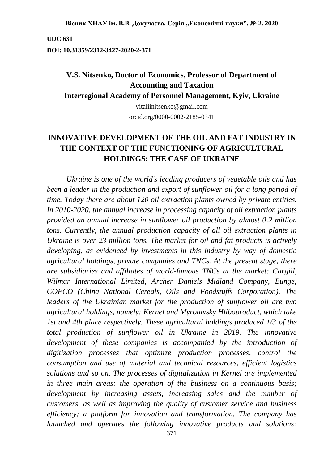Вісник ХНАУ ім. В.В. Докучаєва. Серія "Економічні науки". № 2. 2020

**UDC 631**

**DOI: 10.31359/2312-3427-2020-2-371**

# **V.S. Nitsenko, Doctor of Economics, Professor of Department of Accounting and Taxation**

**Interregional Academy of Personnel Management, Kyiv, Ukraine**

vitaliinitsenko@gmail.com orcid.org/0000-0002-2185-0341

## **INNOVATIVE DEVELOPMENT OF THE OIL AND FAT INDUSTRY IN THE CONTEXT OF THE FUNCTIONING OF AGRICULTURAL HOLDINGS: THE CASE OF UKRAINE**

*Ukraine is one of the world's leading producers of vegetable oils and has been a leader in the production and export of sunflower oil for a long period of time. Today there are about 120 oil extraction plants owned by private entities. In 2010-2020, the annual increase in processing capacity of oil extraction plants provided an annual increase in sunflower oil production by almost 0.2 million tons. Currently, the annual production capacity of all oil extraction plants in Ukraine is over 23 million tons. The market for oil and fat products is actively developing, as evidenced by investments in this industry by way of domestic agricultural holdings, private companies and TNCs. At the present stage, there are subsidiaries and affiliates of world-famous TNCs at the market: Cargill, Wilmar International Limited, Archer Daniels Midland Company, Bunge, COFCO (China National Cereals, Oils and Foodstuffs Corporation). The leaders of the Ukrainian market for the production of sunflower oil are two agricultural holdings, namely: Kernel and Myronivsky Hliboproduct, which take 1st and 4th place respectively. These agricultural holdings produced 1/3 of the total production of sunflower oil in Ukraine in 2019. The innovative development of these companies is accompanied by the introduction of digitization processes that optimize production processes, control the consumption and use of material and technical resources, efficient logistics solutions and so on. The processes of digitalization in Kernel are implemented in three main areas: the operation of the business on a continuous basis; development by increasing assets, increasing sales and the number of customers, as well as improving the quality of customer service and business efficiency; a platform for innovation and transformation. The company has launched and operates the following innovative products and solutions:*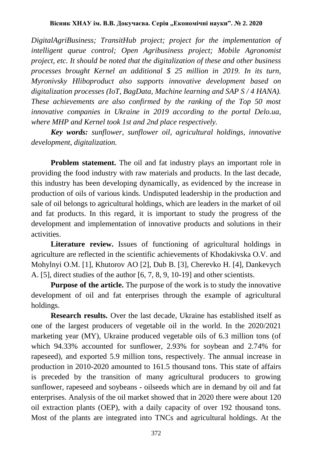*DigitalAgriBusiness; TransitHub project; project for the implementation of intelligent queue control; Open Agribusiness project; Mobile Agronomist project, etc. It should be noted that the digitalization of these and other business processes brought Kernel an additional \$ 25 million in 2019. In its turn, Myronivsky Hliboproduct also supports innovative development based on digitalization processes (IoT, BagData, Machine learning and SAP S / 4 HANA). These achievements are also confirmed by the ranking of the Top 50 most innovative companies in Ukraine in 2019 according to the portal Delo.ua, where MHP and Kernel took 1st and 2nd place respectively.*

*Key words: sunflower, sunflower oil, agricultural holdings, innovative development, digitalization.*

**Problem statement.** The oil and fat industry plays an important role in providing the food industry with raw materials and products. In the last decade, this industry has been developing dynamically, as evidenced by the increase in production of oils of various kinds. Undisputed leadership in the production and sale of oil belongs to agricultural holdings, which are leaders in the market of oil and fat products. In this regard, it is important to study the progress of the development and implementation of innovative products and solutions in their activities.

**Literature review.** Issues of functioning of agricultural holdings in agriculture are reflected in the scientific achievements of Khodakivska O.V. and Mohylnyi О.М. [1], Khutorov AO [2], Dub B. [3], Cherevko H. [4], Dankevych A. [5], direct studies of the author [6, 7, 8, 9, 10-19] and other scientists.

**Purpose of the article.** The purpose of the work is to study the innovative development of oil and fat enterprises through the example of agricultural holdings.

**Research results.** Over the last decade, Ukraine has established itself as one of the largest producers of vegetable oil in the world. In the 2020/2021 marketing year (MY), Ukraine produced vegetable oils of 6.3 million tons (of which 94.33% accounted for sunflower, 2.93% for soybean and 2.74% for rapeseed), and exported 5.9 million tons, respectively. The annual increase in production in 2010-2020 amounted to 161.5 thousand tons. This state of affairs is preceded by the transition of many agricultural producers to growing sunflower, rapeseed and soybeans - oilseeds which are in demand by oil and fat enterprises. Analysis of the oil market showed that in 2020 there were about 120 oil extraction plants (OEP), with a daily capacity of over 192 thousand tons. Most of the plants are integrated into TNCs and agricultural holdings. At the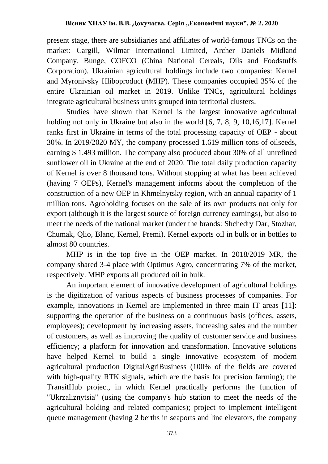present stage, there are subsidiaries and affiliates of world-famous TNCs on the market: Cargill, Wilmar International Limited, Archer Daniels Midland Company, Bunge, COFCO (China National Cereals, Oils and Foodstuffs Corporation). Ukrainian agricultural holdings include two companies: Kernel and Myronivsky Hliboproduct (MHP). These companies occupied 35% of the entire Ukrainian oil market in 2019. Unlike TNCs, agricultural holdings integrate agricultural business units grouped into territorial clusters.

Studies have shown that Kernel is the largest innovative agricultural holding not only in Ukraine but also in the world [6, 7, 8, 9, 10,16,17]. Kernel ranks first in Ukraine in terms of the total processing capacity of OEP - about 30%. In 2019/2020 MY, the company processed 1.619 million tons of oilseeds, earning \$ 1.493 million. The company also produced about 30% of all unrefined sunflower oil in Ukraine at the end of 2020. The total daily production capacity of Kernel is over 8 thousand tons. Without stopping at what has been achieved (having 7 OEPs), Kernel's management informs about the completion of the construction of a new OEP in Khmelnytsky region, with an annual capacity of 1 million tons. Agroholding focuses on the sale of its own products not only for export (although it is the largest source of foreign currency earnings), but also to meet the needs of the national market (under the brands: Shchedry Dar, Stozhar, Chumak, Qlio, Blanc, Kernel, Premi). Kernel exports oil in bulk or in bottles to almost 80 countries.

MHP is in the top five in the OEP market. In 2018/2019 MR, the company shared 3-4 place with Optimus Agro, concentrating 7% of the market, respectively. MHP exports all produced oil in bulk.

An important element of innovative development of agricultural holdings is the digitization of various aspects of business processes of companies. For example, innovations in Kernel are implemented in three main IT areas [11]: supporting the operation of the business on a continuous basis (offices, assets, employees); development by increasing assets, increasing sales and the number of customers, as well as improving the quality of customer service and business efficiency; a platform for innovation and transformation. Innovative solutions have helped Kernel to build a single innovative ecosystem of modern agricultural production DigitalAgriBusiness (100% of the fields are covered with high-quality RTK signals, which are the basis for precision farming); the TransitHub project, in which Kernel practically performs the function of "Ukrzaliznytsia" (using the company's hub station to meet the needs of the agricultural holding and related companies); project to implement intelligent queue management (having 2 berths in seaports and line elevators, the company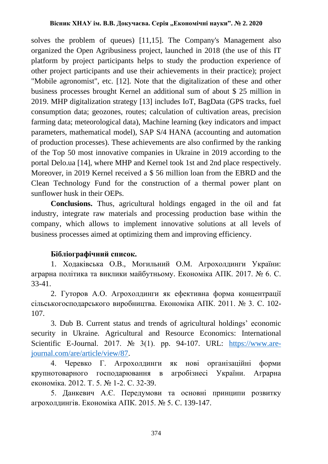solves the problem of queues) [11,15]. The Company's Management also organized the Open Agribusiness project, launched in 2018 (the use of this IT platform by project participants helps to study the production experience of other project participants and use their achievements in their practice); project "Mobile agronomist", etc. [12]. Note that the digitalization of these and other business processes brought Kernel an additional sum of about \$ 25 million in 2019. MHP digitalization strategy [13] includes IoT, BagData (GPS tracks, fuel consumption data; geozones, routes; calculation of cultivation areas, precision farming data; meteorological data), Machine learning (key indicators and impact parameters, mathematical model), SAP S/4 HANA (accounting and automation of production processes). These achievements are also confirmed by the ranking of the Top 50 most innovative companies in Ukraine in 2019 according to the portal Delo.ua [14], where MHP and Kernel took 1st and 2nd place respectively. Moreover, in 2019 Kernel received a \$ 56 million loan from the EBRD and the Clean Technology Fund for the construction of a thermal power plant on sunflower husk in their OEPs.

**Conclusions.** Thus, agricultural holdings engaged in the oil and fat industry, integrate raw materials and processing production base within the company, which allows to implement innovative solutions at all levels of business processes aimed at optimizing them and improving efficiency.

### **Бібліографічний список.**

1. Ходаківська О.В., Могильний О.М. Агрохолдинги України: аграрна політика та виклики майбутньому. Економіка АПК. 2017. № 6. С. 33-41.

2. Гуторов А.О. Агрохолдинги як ефективна форма концентрації сільськогосподарського виробництва. Економіка АПК. 2011. № 3. С. 102- 107.

3. Dub B. Current status and trends of agricultural holdings' economic security in Ukraine. Agricultural and Resource Economics: International Scientific E-Journal. 2017.  $\mathcal{N}_2$  3(1). pp. 94-107. URL: [https://www.are](https://www.are-journal.com/are/article/view/87)[journal.com/are/article/view/87.](https://www.are-journal.com/are/article/view/87)

4. Черевко Г. Агрохолдинги як нові організаційні форми крупнотоварного господарювання в агробізнесі України. Аграрна економіка. 2012. Т. 5. № 1-2. С. 32-39.

5. Данкевич А.Є. Передумови та основні принципи розвитку агрохолдингів. Економіка АПК. 2015. № 5. С. 139-147.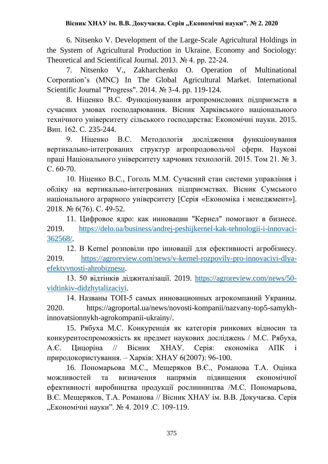6. Nitsenko V. Development of the Large-Scale Agricultural Holdings in the System of Agricultural Production in Ukraine. Economy and Sociology: Theoretical and Scientifical Journal. 2013. № 4. pp. 22-24.

7. Nitsenko V., Zakharchenko O. Operation of Multinational Corporation's (MNC) In The Global Agricultural Market. International Scientific Journal "Progress". 2014. № 3-4. pp. 119-124.

8. Ніценко В.С. Функціонування агропромислових підприємств в сучасних умовах господарювання. Вісник Харківського національного технічного університету сільського господарства: Економічні науки. 2015. Вип. 162. C. 235-244.

9. Ніценко В.С. Методологія дослідження функціонування вертикально-інтегрованих структур агропродовольчої сфери. Наукові праці Національного університету харчових технологій. 2015. Том 21. № 3. С. 60-70.

10. Ніценко В.С., Гоголь М.М. Сучасний стан системи управління і обліку на вертикально-інтегрованих підприємствах. Вісник Сумського національного аграрного університету [Серія «Економіка і менеджмент»]. 2018. № 6(76). C. 49-52.

11. Цифровое ядро: как инновации "Кернел" помогают в бизнесе. 2019. [https://delo.ua/business/andrej-peshijkernel-kak-tehnologii-i-innovaci-](https://delo.ua/business/andrej-peshijkernel-kak-tehnologii-i-innovaci-362568/)[362568/.](https://delo.ua/business/andrej-peshijkernel-kak-tehnologii-i-innovaci-362568/)

12. В Kernel розповіли про інновації для ефективності агробізнесу. 2019. [https://agroreview.com/news/v-kernel-rozpovily-pro-innovaciyi-dlya](https://agroreview.com/news/v-kernel-rozpovily-pro-innovaciyi-dlya-efektyvnosti-ahrobiznesu)[efektyvnosti-ahrobiznesu.](https://agroreview.com/news/v-kernel-rozpovily-pro-innovaciyi-dlya-efektyvnosti-ahrobiznesu)

13. 50 відтінків діджиталізації. 2019. [https://agroreview.com/news/50](https://agroreview.com/news/50-vidtinkiv-didzhytalizaciyi) [vidtinkiv-didzhytalizaciyi.](https://agroreview.com/news/50-vidtinkiv-didzhytalizaciyi)

14. Названы ТОП-5 самых инновационных агрокомпаний Украины. 2020. https://agroportal.ua/news/novosti-kompanii/nazvany-top5-samykhinnovatsionnykh-agrokompanii-ukrainy/.

15. Рябуха М.С. Конкуренція як категорія ринкових відносин та конкурентоспроможність як предмет наукових досліджень / М.С. Рябуха, А.Є. Цицоріна // Вісник ХНАУ. Серія: економіка АПК і природокористування. – Харків: ХНАУ 6(2007): 96-100.

16. Пономарьова М.С., Мещеряков В.Є., Романова Т.А. Оцінка можливостей та визначення напрямів підвищення економічної ефективності виробництва продукції рослинництва /М.С. Пономарьова, В.Є. Мещеряков, Т.А. Романова // Вісник ХНАУ ім. В.В. Докучаєва. Серія "Економічні науки". № 4. 2019 .С. 109-119.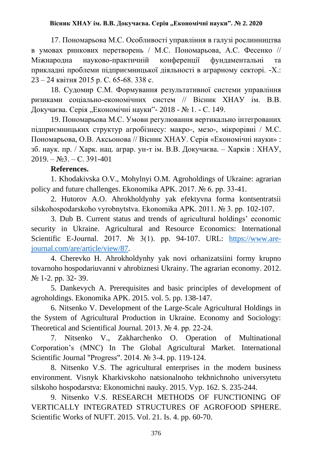#### Вісник ХНАУ ім. В.В. Докучаєва. Серія "Економічні науки". № 2. 2020

17. Пономарьова М.С. Особливості управління в галузі рослинництва в умовах ринкових перетворень / М.С. Пономарьова, А.С. Фесенко // Міжнародна науково-практичній конференції фундаментальні та прикладні проблеми підприємницької діяльності в аграрному секторі. -Х.: 23 – 24 квітня 2015 р. С. 65-68. 338 с.

18. Судомир C.М. Формування результативної системи управління ризиками соціально-економічних систем // Вісник ХНАУ ім. В.В. Докучаєва. Серія "Економічні науки"- 2018 - № 1. - С. 149.

19. Пономарьова М.С. Умови регулювання вертикально інтегрованих підприємницьких структур агробізнесу: макро-, мезо-, мікрорівні / М.С. Пономарьова, О.В. Аксьонова // Вісник ХНАУ. Серія «Економічні науки» : зб. наук. пр. / Харк. нац. аграр. ун-т ім. В.В. Докучаєва. – Харків : ХНАУ,  $2019. - N<sub>2</sub>3. - C. 391-401$ 

#### **References.**

1. Khodakivska O.V., Mohylnyi O.M. Agroholdings of Ukraine: agrarian policy and future challenges. Ekonomika APK. 2017. № 6. pp. 33-41.

2. Hutorov A.O. Ahrokholdynhy yak efektyvna forma kontsentratsii silskohospodarskoho vyrobnytstva. Ekonomika APK. 2011. № 3. pp. 102-107.

3. Dub B. Current status and trends of agricultural holdings' economic security in Ukraine. Agricultural and Resource Economics: International Scientific E-Journal. 2017.  $\mathcal{N}_2$  3(1). pp. 94-107. URL: [https://www.are](https://www.are-journal.com/are/article/view/87)[journal.com/are/article/view/87.](https://www.are-journal.com/are/article/view/87)

4. Cherevko H. Ahrokholdynhy yak novi orhanizatsiini formy krupno tovarnoho hospodariuvanni v ahrobiznesi Ukrainy. The agrarian economy. 2012. № 1-2. рр. 32- 39.

5. Dankevych A. Prerequisites and basic principles of development of agroholdings. Ekonomika APK. 2015. vol. 5. pp. 138-147.

6. Nitsenko V. Development of the Large-Scale Agricultural Holdings in the System of Agricultural Production in Ukraine. Economy and Sociology: Theoretical and Scientifical Journal. 2013. № 4. pp. 22-24.

7. Nitsenko V., Zakharchenko O. Operation of Multinational Corporation's (MNC) In The Global Agricultural Market. International Scientific Journal "Progress". 2014. № 3-4. pp. 119-124.

8. Nitsenko V.S. The agricultural enterprises in the modern business environment. Visnyk Kharkivskoho natsionalnoho tekhnichnoho universytetu silskoho hospodarstva: Ekonomichni nauky. 2015. Vyp. 162. S. 235-244.

9. Nitsenko V.S. RESEARCH METHODS OF FUNCTIONING OF VERTICALLY INTEGRATED STRUCTURES OF AGROFOOD SPHERE. Scientific Works of NUFT. 2015. Vol. 21. Is. 4. pp. 60-70.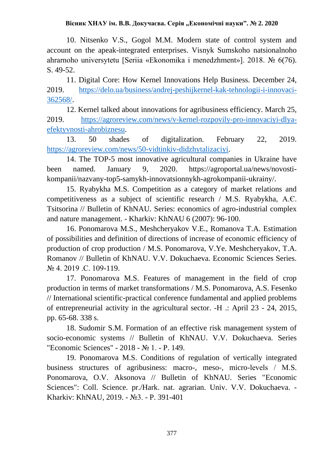#### Вісник ХНАУ ім. В.В. Докучаєва. Серія "Економічні науки". № 2. 2020

10. Nitsenko V.S., Gogol M.M. Modern state of control system and account on the apeak-integrated enterprises. Visnyk Sumskoho natsionalnoho ahrarnoho universytetu [Seriia «Ekonomika i menedzhment»]. 2018. № 6(76). S. 49-52.

11. Digital Core: How Kernel Innovations Help Business. December 24, 2019. [https://delo.ua/business/andrej-peshijkernel-kak-tehnologii-i-innovaci-](https://delo.ua/business/andrej-peshijkernel-kak-tehnologii-i-innovaci-362568/)[362568/.](https://delo.ua/business/andrej-peshijkernel-kak-tehnologii-i-innovaci-362568/)

12. Kernel talked about innovations for agribusiness efficiency. March 25, 2019. [https://agroreview.com/news/v-kernel-rozpovily-pro-innovaciyi-dlya](https://agroreview.com/news/v-kernel-rozpovily-pro-innovaciyi-dlya-efektyvnosti-ahrobiznesu)[efektyvnosti-ahrobiznesu.](https://agroreview.com/news/v-kernel-rozpovily-pro-innovaciyi-dlya-efektyvnosti-ahrobiznesu)

13. 50 shades of digitalization. February 22, 2019. [https://agroreview.com/news/50-vidtinkiv-didzhytalizaciyi.](https://agroreview.com/news/50-vidtinkiv-didzhytalizaciyi)

14. The TOP-5 most innovative agricultural companies in Ukraine have been named. January 9, 2020. https://agroportal.ua/news/novostikompanii/nazvany-top5-samykh-innovatsionnykh-agrokompanii-ukrainy/.

15. Ryabykha M.S. Competition as a category of market relations and competitiveness as a subject of scientific research / M.S. Ryabykha, А.Є. Tsitsorina // Bulletin of KhNAU. Series: economics of agro-industrial complex and nature management. - Kharkiv: KhNAU 6 (2007): 96-100.

16. Ponomarova M.S., Meshcheryakov V.E., Romanova T.A. Estimation of possibilities and definition of directions of increase of economic efficiency of production of crop production / M.S. Ponomarova, V.Ye. Meshcheryakov, T.A. Romanov // Bulletin of KhNAU. V.V. Dokuchaeva. Economic Sciences Series. № 4. 2019 .С. 109-119.

17. Ponomarova M.S. Features of management in the field of crop production in terms of market transformations / M.S. Ponomarova, A.S. Fesenko // International scientific-practical conference fundamental and applied problems of entrepreneurial activity in the agricultural sector. -H .: April 23 - 24, 2015, pp. 65-68. 338 s.

18. Sudomir S.M. Formation of an effective risk management system of socio-economic systems // Bulletin of KhNAU. V.V. Dokuchaeva. Series "Economic Sciences" - 2018 - № 1. - P. 149.

19. Ponomarova M.S. Conditions of regulation of vertically integrated business structures of agribusiness: macro-, meso-, micro-levels / М.S. Ponomarova, O.V. Aksonova // Bulletin of KhNAU. Series "Economic Sciences": Coll. Science. pr./Hark. nat. agrarian. Univ. V.V. Dokuchaeva. - Kharkiv: KhNAU, 2019. - №3. - P. 391-401